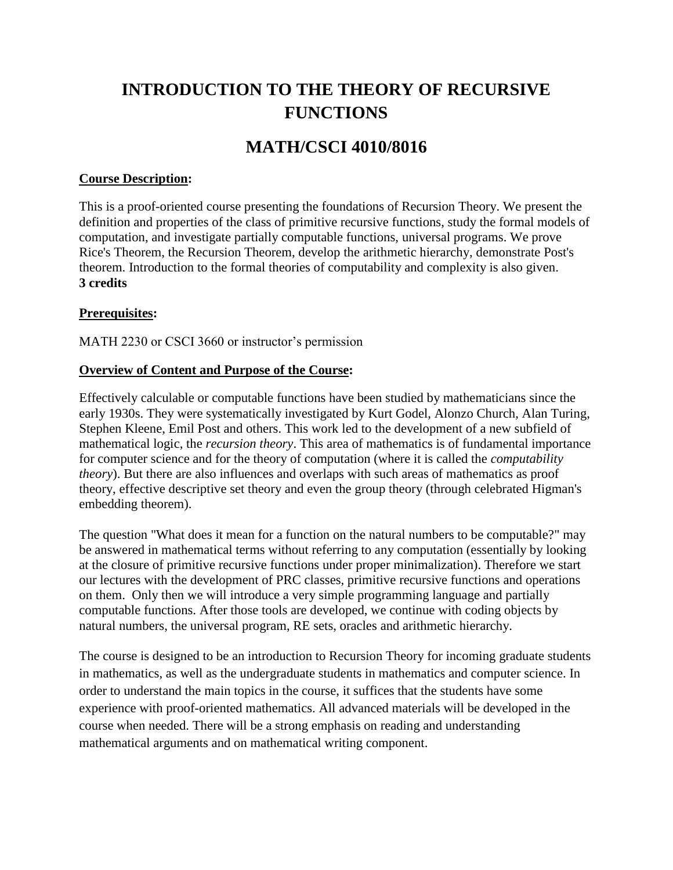# **INTRODUCTION TO THE THEORY OF RECURSIVE FUNCTIONS**

# **MATH/CSCI 4010/8016**

#### **Course Description:**

This is a proof-oriented course presenting the foundations of Recursion Theory. We present the definition and properties of the class of primitive recursive functions, study the formal models of computation, and investigate partially computable functions, universal programs. We prove Rice's Theorem, the Recursion Theorem, develop the arithmetic hierarchy, demonstrate Post's theorem. Introduction to the formal theories of computability and complexity is also given. **3 credits**

#### **Prerequisites:**

MATH 2230 or CSCI 3660 or instructor's permission

#### **Overview of Content and Purpose of the Course:**

Effectively calculable or computable functions have been studied by mathematicians since the early 1930s. They were systematically investigated by Kurt Godel, Alonzo Church, Alan Turing, Stephen Kleene, Emil Post and others. This work led to the development of a new subfield of mathematical logic, the *recursion theory*. This area of mathematics is of fundamental importance for computer science and for the theory of computation (where it is called the *computability theory*). But there are also influences and overlaps with such areas of mathematics as proof theory, effective descriptive set theory and even the group theory (through celebrated Higman's embedding theorem).

The question "What does it mean for a function on the natural numbers to be computable?" may be answered in mathematical terms without referring to any computation (essentially by looking at the closure of primitive recursive functions under proper minimalization). Therefore we start our lectures with the development of PRC classes, primitive recursive functions and operations on them. Only then we will introduce a very simple programming language and partially computable functions. After those tools are developed, we continue with coding objects by natural numbers, the universal program, RE sets, oracles and arithmetic hierarchy.

The course is designed to be an introduction to Recursion Theory for incoming graduate students in mathematics, as well as the undergraduate students in mathematics and computer science. In order to understand the main topics in the course, it suffices that the students have some experience with proof-oriented mathematics. All advanced materials will be developed in the course when needed. There will be a strong emphasis on reading and understanding mathematical arguments and on mathematical writing component.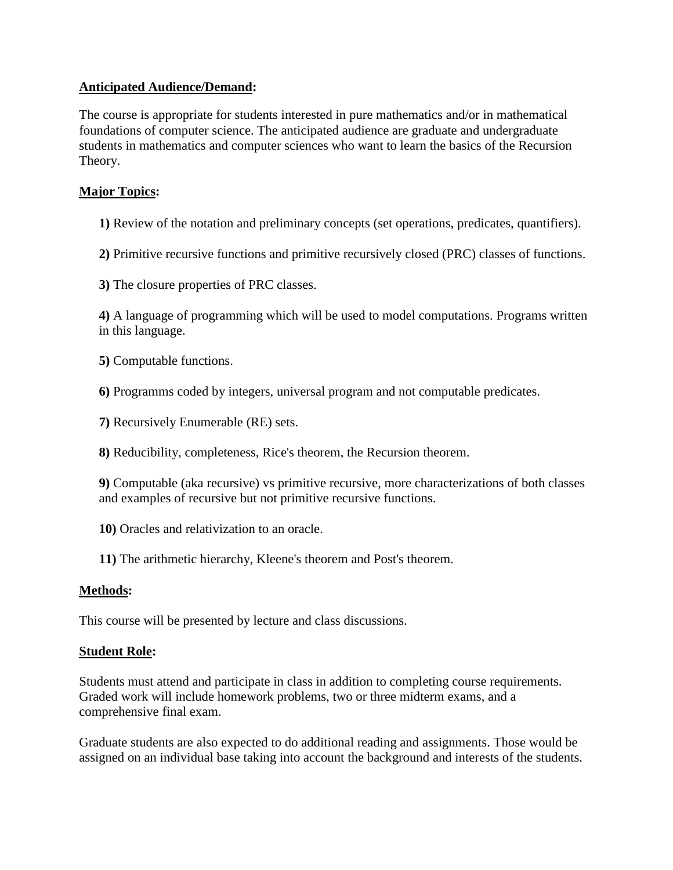### **Anticipated Audience/Demand:**

The course is appropriate for students interested in pure mathematics and/or in mathematical foundations of computer science. The anticipated audience are graduate and undergraduate students in mathematics and computer sciences who want to learn the basics of the Recursion Theory.

### **Major Topics:**

- **1)** Review of the notation and preliminary concepts (set operations, predicates, quantifiers).
- **2)** Primitive recursive functions and primitive recursively closed (PRC) classes of functions.
- **3)** The closure properties of PRC classes.

**4)** A language of programming which will be used to model computations. Programs written in this language.

- **5)** Computable functions.
- **6)** Programms coded by integers, universal program and not computable predicates.
- **7)** Recursively Enumerable (RE) sets.
- **8)** Reducibility, completeness, Rice's theorem, the Recursion theorem.
- **9)** Computable (aka recursive) vs primitive recursive, more characterizations of both classes and examples of recursive but not primitive recursive functions.
- **10)** Oracles and relativization to an oracle.
- **11)** The arithmetic hierarchy, Kleene's theorem and Post's theorem.

#### **Methods:**

This course will be presented by lecture and class discussions.

#### **Student Role:**

Students must attend and participate in class in addition to completing course requirements. Graded work will include homework problems, two or three midterm exams, and a comprehensive final exam.

Graduate students are also expected to do additional reading and assignments. Those would be assigned on an individual base taking into account the background and interests of the students.